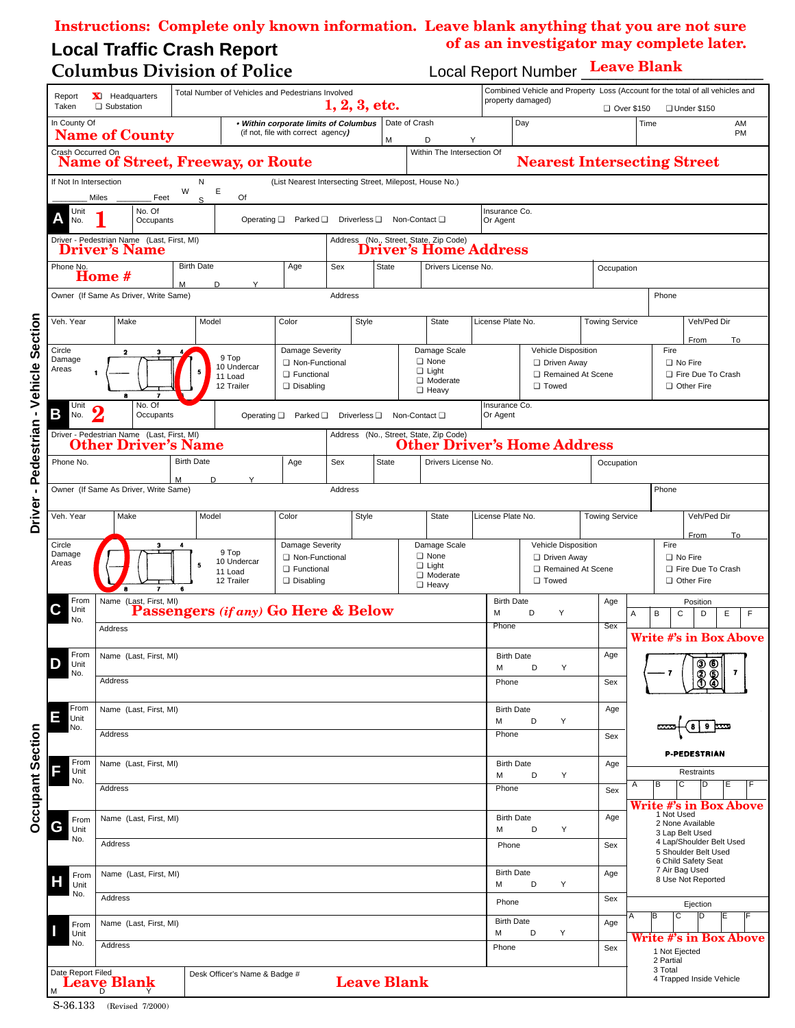## **Local Traffic Crash Report Instructions: Complete only known information. Leave blank anything that you are not sure of as an investigator may complete later.**

## **Columbus Division of Police Local Report Number Leave Blank**

| Report<br>Taken                                                                                                                                          | Total Number of Vehicles and Pedestrians Involved<br><b>X</b> Headquarters<br>1, 2, 3, etc.<br>□ Substation                                           |                                                                           |                                                                               |     |       |                                                                             |                                                         |                                               | Combined Vehicle and Property Loss (Account for the total of all vehicles and<br>property damaged)<br>□ Over \$150<br>□ Under \$150 |                                                            |                       |                                                                                                      |                               |  |  |
|----------------------------------------------------------------------------------------------------------------------------------------------------------|-------------------------------------------------------------------------------------------------------------------------------------------------------|---------------------------------------------------------------------------|-------------------------------------------------------------------------------|-----|-------|-----------------------------------------------------------------------------|---------------------------------------------------------|-----------------------------------------------|-------------------------------------------------------------------------------------------------------------------------------------|------------------------------------------------------------|-----------------------|------------------------------------------------------------------------------------------------------|-------------------------------|--|--|
| In County Of                                                                                                                                             | <b>Name of County</b>                                                                                                                                 |                                                                           | . Within corporate limits of Columbus<br>(if not, file with correct agency)   |     |       | М                                                                           | Date of Crash<br>D                                      | Y                                             |                                                                                                                                     | Day                                                        |                       | Time                                                                                                 | AM<br>PM                      |  |  |
| Crash Occurred On                                                                                                                                        |                                                                                                                                                       |                                                                           |                                                                               |     |       |                                                                             | Within The Intersection Of                              |                                               |                                                                                                                                     |                                                            |                       |                                                                                                      |                               |  |  |
|                                                                                                                                                          | <b>Name of Street, Freeway, or Route</b>                                                                                                              |                                                                           |                                                                               |     |       |                                                                             |                                                         |                                               |                                                                                                                                     | <b>Nearest Intersecting Street</b>                         |                       |                                                                                                      |                               |  |  |
| If Not In Intersection                                                                                                                                   | Miles<br>Feet                                                                                                                                         | Ν<br>W<br>Е<br>S                                                          | Of                                                                            |     |       |                                                                             | (List Nearest Intersecting Street, Milepost, House No.) |                                               |                                                                                                                                     |                                                            |                       |                                                                                                      |                               |  |  |
| No. Of<br>Unit<br>Α<br>Operating $\square$ Parked $\square$<br>Driverless $\square$<br>Non-Contact □<br>No.<br>Occupants                                 |                                                                                                                                                       |                                                                           |                                                                               |     |       |                                                                             |                                                         |                                               | Insurance Co.<br>Or Agent                                                                                                           |                                                            |                       |                                                                                                      |                               |  |  |
| Driver - Pedestrian Name (Last, First, MI)<br>Address (No., Street, State, Zip Code)<br><b>Driver's Home Address</b><br><b>Driver's Name</b>             |                                                                                                                                                       |                                                                           |                                                                               |     |       |                                                                             |                                                         |                                               |                                                                                                                                     |                                                            |                       |                                                                                                      |                               |  |  |
| <b>Birth Date</b><br>Age<br><b>State</b><br>Phone No.<br>Sex<br>Home #<br>M<br>D.<br>Y                                                                   |                                                                                                                                                       |                                                                           |                                                                               |     |       |                                                                             |                                                         | Drivers License No.                           |                                                                                                                                     |                                                            |                       | Occupation                                                                                           |                               |  |  |
| Owner (If Same As Driver, Write Same)<br>Address                                                                                                         |                                                                                                                                                       |                                                                           |                                                                               |     |       |                                                                             |                                                         |                                               |                                                                                                                                     |                                                            |                       | Phone                                                                                                |                               |  |  |
| Veh. Year                                                                                                                                                | Make                                                                                                                                                  | Model                                                                     | Color                                                                         |     | Style |                                                                             | State                                                   |                                               | License Plate No.                                                                                                                   |                                                            | <b>Towing Service</b> |                                                                                                      | Veh/Ped Dir                   |  |  |
| Circle<br>Damage<br>Areas                                                                                                                                | Damage Severity<br>$\mathbf 2$<br>9 Top<br>□ Non-Functional<br>10 Undercar<br>1<br>□ Functional<br>11 Load<br>12 Trailer<br>Disabling<br>8            |                                                                           |                                                                               |     |       | Damage Scale<br>$\Box$ None<br>$\Box$ Light<br>□ Moderate<br><b>D</b> Heavy |                                                         | Vehicle Disposition<br>Driven Away<br>□ Towed |                                                                                                                                     | Remained At Scene                                          | Fire                  | From<br>To<br>□ No Fire<br>Fire Due To Crash<br>Other Fire                                           |                               |  |  |
| Unit<br>Β<br>No.                                                                                                                                         | No. Of<br>Insurance Co.<br>$\boldsymbol{2}$<br>Occupants<br>Or Agent<br>Operating $\square$ Parked $\square$<br>Driverless $\square$<br>Non-Contact □ |                                                                           |                                                                               |     |       |                                                                             |                                                         |                                               |                                                                                                                                     |                                                            |                       |                                                                                                      |                               |  |  |
| Driver - Pedestrian Name (Last, First, MI)<br>Address (No., Street, State, Zip Code)<br><b>Other Driver's Home Address</b><br><b>Other Driver's Name</b> |                                                                                                                                                       |                                                                           |                                                                               |     |       |                                                                             |                                                         |                                               |                                                                                                                                     |                                                            |                       |                                                                                                      |                               |  |  |
| Phone No.                                                                                                                                                |                                                                                                                                                       | <b>Birth Date</b>                                                         |                                                                               | Age | Sex   | <b>State</b>                                                                |                                                         | Drivers License No.                           |                                                                                                                                     |                                                            | Occupation            |                                                                                                      |                               |  |  |
| D<br>Owner (If Same As Driver, Write Same)<br>Address                                                                                                    |                                                                                                                                                       |                                                                           |                                                                               |     |       |                                                                             |                                                         |                                               |                                                                                                                                     |                                                            |                       | Phone                                                                                                |                               |  |  |
| Veh. Year                                                                                                                                                | Make                                                                                                                                                  | Model                                                                     | Color                                                                         |     | Style |                                                                             | State                                                   |                                               | License Plate No.                                                                                                                   |                                                            | <b>Towing Service</b> |                                                                                                      | Veh/Ped Dir                   |  |  |
| Circle<br>Damage<br>Areas                                                                                                                                | $\overline{\phantom{a}}$                                                                                                                              | Damage Severity<br>□ Non-Functional<br><b>D</b> Functional<br>□ Disabling | Damage Scale<br><b>Q</b> None<br>$\Box$ Light<br>□ Moderate<br><b>D</b> Heavy |     |       | Vehicle Disposition<br>Driven Away<br>Remained At Scene<br>□ Towed          |                                                         |                                               | Fire                                                                                                                                | From<br>To<br>□ No Fire<br>Fire Due To Crash<br>Other Fire |                       |                                                                                                      |                               |  |  |
| From<br>C<br>Unit<br>No.                                                                                                                                 | Name (Last, First, MI)<br>Passengers (if any) Go Here & Below                                                                                         |                                                                           |                                                                               |     |       |                                                                             |                                                         |                                               | <b>Birth Date</b><br>M<br>D<br>Y                                                                                                    |                                                            | Age                   | Α<br>В                                                                                               | Position<br>Ε<br>F<br>C<br>D  |  |  |
|                                                                                                                                                          | Address                                                                                                                                               |                                                                           |                                                                               |     |       |                                                                             |                                                         |                                               | Phone                                                                                                                               |                                                            | Sex                   |                                                                                                      | <b>Write #'s in Box Above</b> |  |  |
| From<br>Unit<br>No.                                                                                                                                      | Name (Last, First, MI)                                                                                                                                |                                                                           |                                                                               |     |       |                                                                             |                                                         |                                               | <b>Birth Date</b><br>М<br>D<br>Υ<br>Phone                                                                                           |                                                            | Age                   | 88<br>$\overline{7}$<br>-7                                                                           |                               |  |  |
|                                                                                                                                                          | Address                                                                                                                                               |                                                                           |                                                                               |     |       |                                                                             |                                                         |                                               |                                                                                                                                     |                                                            | Sex                   |                                                                                                      |                               |  |  |
| From<br>Ε<br>Unit<br>No.                                                                                                                                 | Name (Last, First, MI)                                                                                                                                |                                                                           |                                                                               |     |       |                                                                             |                                                         |                                               | <b>Birth Date</b><br>D<br>M<br>Υ<br>Phone                                                                                           |                                                            | Age                   | <b>P-PEDESTRIAN</b>                                                                                  |                               |  |  |
|                                                                                                                                                          | Address                                                                                                                                               |                                                                           |                                                                               |     |       |                                                                             |                                                         |                                               |                                                                                                                                     |                                                            | Sex                   |                                                                                                      |                               |  |  |
| From<br>F<br>Unit<br>No.                                                                                                                                 |                                                                                                                                                       | Name (Last, First, MI)                                                    |                                                                               |     |       |                                                                             |                                                         |                                               |                                                                                                                                     | <b>Birth Date</b><br>D<br>Υ                                | Age                   |                                                                                                      | <b>Restraints</b>             |  |  |
|                                                                                                                                                          | Address                                                                                                                                               |                                                                           |                                                                               |     |       |                                                                             |                                                         |                                               | Phone                                                                                                                               |                                                            |                       | в<br>С<br>Α<br>D<br>Е<br>Write #'s in Box Above<br>1 Not Used<br>2 None Available<br>3 Lap Belt Used |                               |  |  |
| From<br>G<br>Unit<br>No.                                                                                                                                 |                                                                                                                                                       | Name (Last, First, MI)                                                    |                                                                               |     |       |                                                                             |                                                         |                                               |                                                                                                                                     | <b>Birth Date</b><br>M<br>D<br>Υ                           |                       |                                                                                                      |                               |  |  |
|                                                                                                                                                          | Address                                                                                                                                               |                                                                           |                                                                               |     |       |                                                                             |                                                         |                                               | Phone                                                                                                                               |                                                            | Sex                   | 4 Lap/Shoulder Belt Used<br>5 Shoulder Belt Used<br>6 Child Safety Seat                              |                               |  |  |
| From<br>Н<br>Unit                                                                                                                                        |                                                                                                                                                       | Name (Last, First, MI)                                                    |                                                                               |     |       |                                                                             |                                                         |                                               |                                                                                                                                     | <b>Birth Date</b><br>M<br>D<br>Υ                           |                       | 7 Air Bag Used<br>8 Use Not Reported                                                                 |                               |  |  |
| No.                                                                                                                                                      | Address                                                                                                                                               |                                                                           |                                                                               |     |       |                                                                             |                                                         |                                               | Phone                                                                                                                               |                                                            | Sex                   |                                                                                                      | Ejection                      |  |  |
| From<br>Unit<br>No.                                                                                                                                      |                                                                                                                                                       | Name (Last, First, MI)                                                    |                                                                               |     |       |                                                                             |                                                         |                                               |                                                                                                                                     | <b>Birth Date</b><br>Age<br>M<br>D<br>Υ                    |                       | ΓC<br>ĪВ<br>ĪD<br>Α<br><b>Write #'s in Box Above</b>                                                 |                               |  |  |
|                                                                                                                                                          | Address                                                                                                                                               |                                                                           |                                                                               |     |       |                                                                             |                                                         |                                               | Phone<br>Sex                                                                                                                        |                                                            |                       | 1 Not Ejected<br>2 Partial                                                                           |                               |  |  |
| M                                                                                                                                                        | Date Report Filed<br>Desk Officer's Name & Badge #<br><b>Leave Blank</b><br>Leave Blank                                                               |                                                                           |                                                                               |     |       |                                                                             |                                                         |                                               |                                                                                                                                     |                                                            |                       | 3 Total                                                                                              | 4 Trapped Inside Vehicle      |  |  |

**Occupant Section**